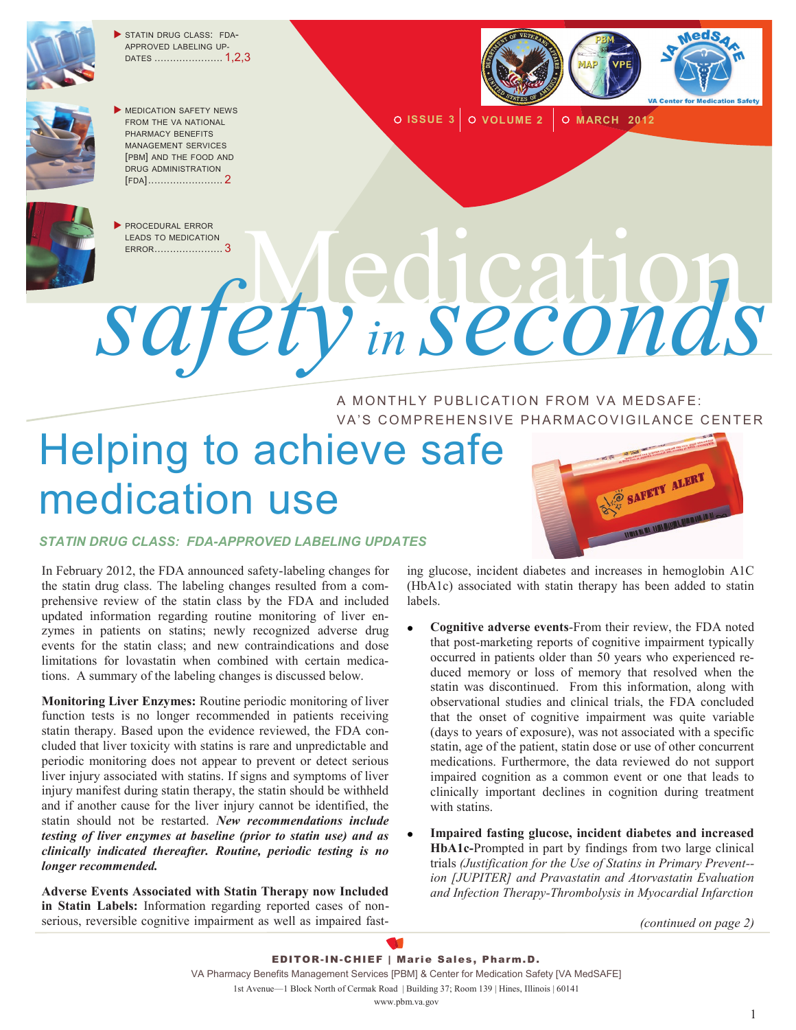

STATIN DRUG CLASS: FDA-APPROVED LABELING UP-DATES ...................... 1,2,3



**MEDICATION SAFETY NEWS** FROM THE VA NATIONAL PHARMACY BENEFITS MANAGEMENT SERVICES [PBM] AND THE FOOD AND DRUG ADMINISTRATION [FDA]........................ 2



 PROCEDURAL ERROR LEADS TO MEDICATION<br>ERROR........................3 **O ISSUE 3 O VOLUME 2 O MARCH 2012** 



A MONTHLY PUBLICATION FROM VA MEDSAFE: VA'S COMPREHENSIVE PHARMACOVIGILANCE CENTER

# Helping to achieve safe medication use



#### *STATIN DRUG CLASS: FDA-APPROVED LABELING UPDATES*

In February 2012, the FDA announced safety-labeling changes for the statin drug class. The labeling changes resulted from a comprehensive review of the statin class by the FDA and included updated information regarding routine monitoring of liver enzymes in patients on statins; newly recognized adverse drug events for the statin class; and new contraindications and dose limitations for lovastatin when combined with certain medications. A summary of the labeling changes is discussed below.

**Monitoring Liver Enzymes:** Routine periodic monitoring of liver function tests is no longer recommended in patients receiving statin therapy. Based upon the evidence reviewed, the FDA concluded that liver toxicity with statins is rare and unpredictable and periodic monitoring does not appear to prevent or detect serious liver injury associated with statins. If signs and symptoms of liver injury manifest during statin therapy, the statin should be withheld and if another cause for the liver injury cannot be identified, the statin should not be restarted. *New recommendations include testing of liver enzymes at baseline (prior to statin use) and as clinically indicated thereafter. Routine, periodic testing is no longer recommended.*

**Adverse Events Associated with Statin Therapy now Included in Statin Labels:** Information regarding reported cases of nonserious, reversible cognitive impairment as well as impaired fasting glucose, incident diabetes and increases in hemoglobin A1C (HbA1c) associated with statin therapy has been added to statin labels.

- **Cognitive adverse events**-From their review, the FDA noted that post-marketing reports of cognitive impairment typically occurred in patients older than 50 years who experienced reduced memory or loss of memory that resolved when the statin was discontinued. From this information, along with observational studies and clinical trials, the FDA concluded that the onset of cognitive impairment was quite variable (days to years of exposure), was not associated with a specific statin, age of the patient, statin dose or use of other concurrent medications. Furthermore, the data reviewed do not support impaired cognition as a common event or one that leads to clinically important declines in cognition during treatment with statins.
- **Impaired fasting glucose, incident diabetes and increased HbA1c-**Prompted in part by findings from two large clinical trials *(Justification for the Use of Statins in Primary Prevent- ion [JUPITER] and Pravastatin and Atorvastatin Evaluation and Infection Therapy-Thrombolysis in Myocardial Infarction*

*(continued on page 2)*

EDITOR-IN-CHIEF | Marie Sales, Pharm.D. VA Pharmacy Benefits Management Services [PBM] & Center for Medication Safety [VA MedSAFE] 1st Avenue—1 Block North of Cermak Road | Building 37; Room 139 | Hines, Illinois | 60141 www.pbm.va.gov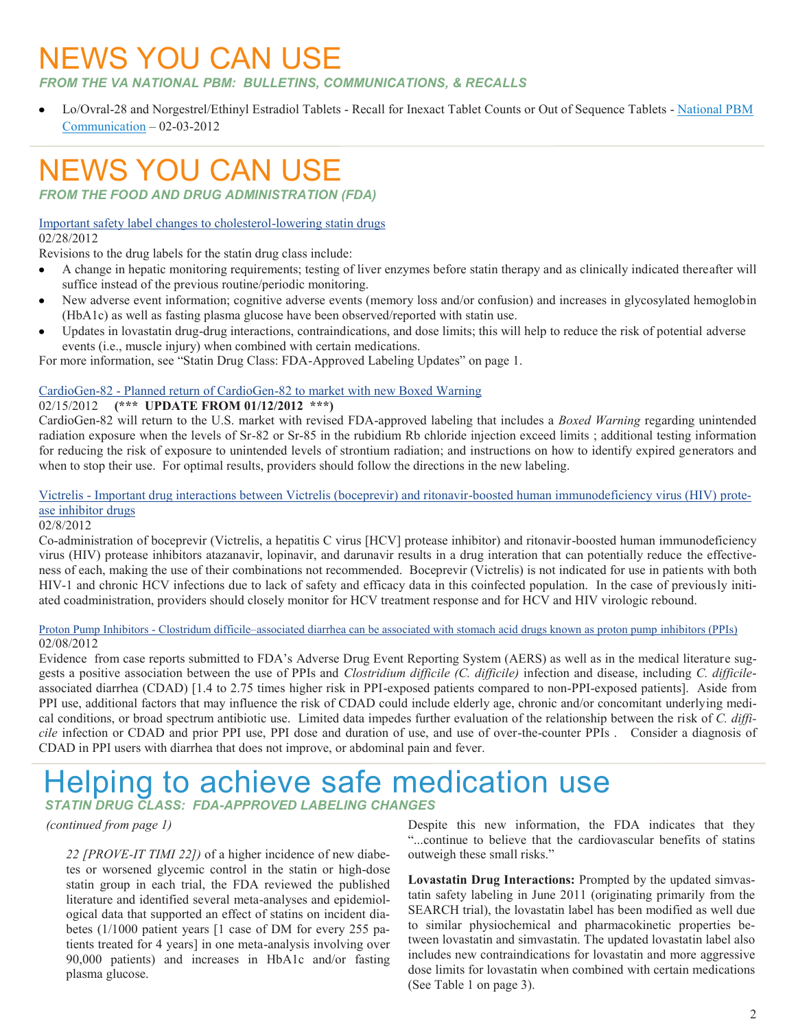### NEWS YOU CAN USE

*FROM THE VA NATIONAL PBM: BULLETINS, COMMUNICATIONS, & RECALLS* 

Lo/Ovral-28 and Norgestrel/Ethinyl Estradiol Tablets - Recall for Inexact Tablet Counts or Out of Sequence Tablets - [National PBM](http://www.pbm.va.gov/vamedsafe/Oral%20Contraceptives%20and%20Packaging%20Error%20Recall_NATIONAL%20PBM%20COMMUNICATION_FINAL_020312.PDF)  [Communication](http://www.pbm.va.gov/vamedsafe/Oral%20Contraceptives%20and%20Packaging%20Error%20Recall_NATIONAL%20PBM%20COMMUNICATION_FINAL_020312.PDF) – 02-03-2012

### NEWS YOU CAN USE

*FROM THE FOOD AND DRUG ADMINISTRATION (FDA)*

### [Important safety label changes to cholesterol-lowering statin drugs](http://www.fda.gov/Drugs/DrugSafety/ucm293101.htm)

02/28/2012

Revisions to the drug labels for the statin drug class include:

- A change in hepatic monitoring requirements; testing of liver enzymes before statin therapy and as clinically indicated thereafter will  $\bullet$ suffice instead of the previous routine/periodic monitoring.
- New adverse event information; cognitive adverse events (memory loss and/or confusion) and increases in glycosylated hemoglobin  $\bullet$ (HbA1c) as well as fasting plasma glucose have been observed/reported with statin use.
- Updates in lovastatin drug-drug interactions, contraindications, and dose limits; this will help to reduce the risk of potential adverse  $\bullet$ events (i.e., muscle injury) when combined with certain medications.

For more information, see "Statin Drug Class: FDA-Approved Labeling Updates" on page 1.

#### CardioGen-82 - [Planned return of CardioGen-82 to market with new Boxed Warning](http://www.fda.gov/Drugs/DrugSafety/ucm291758.htm)

#### 02/15/2012 **(\*\*\* UPDATE FROM 01/12/2012 \*\*\*)**

CardioGen-82 will return to the U.S. market with revised FDA-approved labeling that includes a *Boxed Warning* regarding unintended radiation exposure when the levels of Sr-82 or Sr-85 in the rubidium Rb chloride injection exceed limits ; additional testing information for reducing the risk of exposure to unintended levels of strontium radiation; and instructions on how to identify expired generators and when to stop their use. For optimal results, providers should follow the directions in the new labeling.

#### Victrelis - [Important drug interactions between Victrelis \(boceprevir\) and ritonavir-boosted human immunodeficiency virus \(HIV\) prote](http://www.fda.gov/Drugs/DrugSafety/ucm291119.htm)[ase inhibitor drugs](http://www.fda.gov/Drugs/DrugSafety/ucm291119.htm)

#### 02/8/2012

Co-administration of boceprevir (Victrelis, a hepatitis C virus [HCV] protease inhibitor) and ritonavir-boosted human immunodeficiency virus (HIV) protease inhibitors atazanavir, lopinavir, and darunavir results in a drug interation that can potentially reduce the effectiveness of each, making the use of their combinations not recommended. Boceprevir (Victrelis) is not indicated for use in patients with both HIV-1 and chronic HCV infections due to lack of safety and efficacy data in this coinfected population. In the case of previously initiated coadministration, providers should closely monitor for HCV treatment response and for HCV and HIV virologic rebound.

#### Proton Pump Inhibitors - Clostridum difficile–[associated diarrhea can be associated with stomach acid drugs known as proton pump](http://www.fda.gov/Drugs/DrugSafety/ucm290510.htm) inhibitors (PPIs) 02/08/2012

Evidence from case reports submitted to FDA's Adverse Drug Event Reporting System (AERS) as well as in the medical literature suggests a positive association between the use of PPIs and *Clostridium difficile (C. difficile)* infection and disease, including *C. difficile*associated diarrhea (CDAD) [1.4 to 2.75 times higher risk in PPI-exposed patients compared to non-PPI-exposed patients]. Aside from PPI use, additional factors that may influence the risk of CDAD could include elderly age, chronic and/or concomitant underlying medical conditions, or broad spectrum antibiotic use. Limited data impedes further evaluation of the relationship between the risk of *C. difficile* infection or CDAD and prior PPI use, PPI dose and duration of use, and use of over-the-counter PPIs . Consider a diagnosis of CDAD in PPI users with diarrhea that does not improve, or abdominal pain and fever.

### Helping to achieve safe medication use

*STATIN DRUG CLASS: FDA-APPROVED LABELING CHANGES*

#### *(continued from page 1)*

*22 [PROVE-IT TIMI 22])* of a higher incidence of new diabetes or worsened glycemic control in the statin or high-dose statin group in each trial, the FDA reviewed the published literature and identified several meta-analyses and epidemiological data that supported an effect of statins on incident diabetes (1/1000 patient years [1 case of DM for every 255 patients treated for 4 years] in one meta-analysis involving over 90,000 patients) and increases in HbA1c and/or fasting plasma glucose.

Despite this new information, the FDA indicates that they "...continue to believe that the cardiovascular benefits of statins outweigh these small risks."

**Lovastatin Drug Interactions:** Prompted by the updated simvastatin safety labeling in June 2011 (originating primarily from the SEARCH trial), the lovastatin label has been modified as well due to similar physiochemical and pharmacokinetic properties between lovastatin and simvastatin. The updated lovastatin label also includes new contraindications for lovastatin and more aggressive dose limits for lovastatin when combined with certain medications (See Table 1 on page 3).